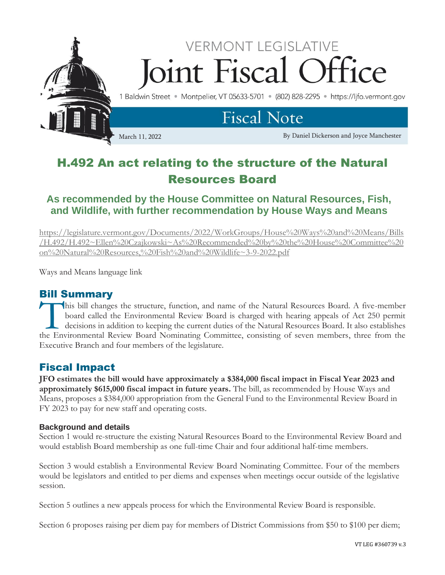

# H.492 An act relating to the structure of the Natural Resources Board

## **As recommended by the House Committee on Natural Resources, Fish, and Wildlife, with further recommendation by House Ways and Means**

[https://legislature.vermont.gov/Documents/2022/WorkGroups/House%20Ways%20and%20Means/Bills](https://legislature.vermont.gov/Documents/2022/WorkGroups/House%20Ways%20and%20Means/Bills/H.492/H.492~Ellen%20Czajkowski~As%20Recommended%20by%20the%20House%20Committee%20on%20Natural%20Resources,%20Fish%20and%20Wildlife~3-9-2022.pdf) [/H.492/H.492~Ellen%20Czajkowski~As%20Recommended%20by%20the%20House%20Committee%20](https://legislature.vermont.gov/Documents/2022/WorkGroups/House%20Ways%20and%20Means/Bills/H.492/H.492~Ellen%20Czajkowski~As%20Recommended%20by%20the%20House%20Committee%20on%20Natural%20Resources,%20Fish%20and%20Wildlife~3-9-2022.pdf) [on%20Natural%20Resources,%20Fish%20and%20Wildlife~3-9-2022.pdf](https://legislature.vermont.gov/Documents/2022/WorkGroups/House%20Ways%20and%20Means/Bills/H.492/H.492~Ellen%20Czajkowski~As%20Recommended%20by%20the%20House%20Committee%20on%20Natural%20Resources,%20Fish%20and%20Wildlife~3-9-2022.pdf)

Ways and Means language link

### Bill Summary

his bill changes the structure, function, and name of the Natural Resources Board. A five-member board called the Environmental Review Board is charged with hearing appeals of Act 250 permit decisions in addition to keeping the current duties of the Natural Resources Board. It also establishes This bill changes the structure, function, and name of the Natural Resources Board. A five-member<br>board called the Environmental Review Board is charged with hearing appeals of Act 250 permit<br>decisions in addition to keepi Executive Branch and four members of the legislature.

### Fiscal Impact

**JFO estimates the bill would have approximately a \$384,000 fiscal impact in Fiscal Year 2023 and approximately \$615,000 fiscal impact in future years.** The bill, as recommended by House Ways and Means, proposes a \$384,000 appropriation from the General Fund to the Environmental Review Board in FY 2023 to pay for new staff and operating costs.

#### **Background and details**

Section 1 would re-structure the existing Natural Resources Board to the Environmental Review Board and would establish Board membership as one full-time Chair and four additional half-time members.

Section 3 would establish a Environmental Review Board Nominating Committee. Four of the members would be legislators and entitled to per diems and expenses when meetings occur outside of the legislative session.

Section 5 outlines a new appeals process for which the Environmental Review Board is responsible.

Section 6 proposes raising per diem pay for members of District Commissions from \$50 to \$100 per diem;